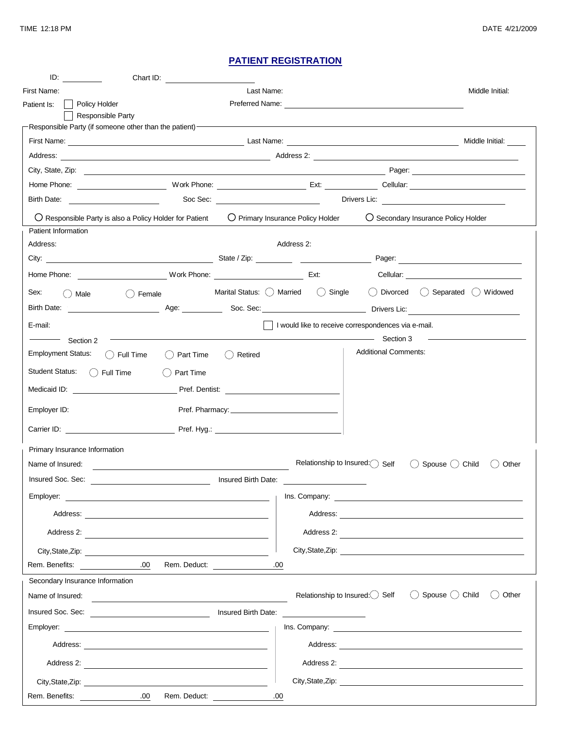## **PATIENT REGISTRATION**

|                                                                                                                                                                                                                                                                                     | Chart ID:                                                                                                                                                                                                                      |                     |                                                      |                                                                                           |       |
|-------------------------------------------------------------------------------------------------------------------------------------------------------------------------------------------------------------------------------------------------------------------------------------|--------------------------------------------------------------------------------------------------------------------------------------------------------------------------------------------------------------------------------|---------------------|------------------------------------------------------|-------------------------------------------------------------------------------------------|-------|
| First Name: The Search State State                                                                                                                                                                                                                                                  |                                                                                                                                                                                                                                |                     |                                                      | Middle Initial:                                                                           |       |
| Policy Holder<br>Preferred Name: Name: Name: Name: Name: Name: Name: Name: Name: Name: Name: Name: Name: Name: Name: Name: Name: Name: Name: Name: Name: Name: Name: Name: Name: Name: Name: Name: Name: Name: Name: Name: Name: Name: Name: Na<br>Patient Is:<br>Responsible Party |                                                                                                                                                                                                                                |                     |                                                      |                                                                                           |       |
|                                                                                                                                                                                                                                                                                     | Responsible Party (if someone other than the patient) - The mass of the Responsible Party (if someone other than                                                                                                               |                     |                                                      |                                                                                           |       |
|                                                                                                                                                                                                                                                                                     |                                                                                                                                                                                                                                |                     |                                                      | Middle Initial:                                                                           |       |
|                                                                                                                                                                                                                                                                                     |                                                                                                                                                                                                                                |                     |                                                      |                                                                                           |       |
|                                                                                                                                                                                                                                                                                     |                                                                                                                                                                                                                                |                     |                                                      |                                                                                           |       |
|                                                                                                                                                                                                                                                                                     |                                                                                                                                                                                                                                |                     |                                                      |                                                                                           |       |
|                                                                                                                                                                                                                                                                                     |                                                                                                                                                                                                                                |                     |                                                      | Drivers Lic: <u>___________________________</u>                                           |       |
| ○ Secondary Insurance Policy Holder<br>$\bigcirc$ Responsible Party is also a Policy Holder for Patient $\bigcirc$ Primary Insurance Policy Holder<br>Patient Information <sup>-</sup>                                                                                              |                                                                                                                                                                                                                                |                     |                                                      |                                                                                           |       |
| Address:                                                                                                                                                                                                                                                                            |                                                                                                                                                                                                                                |                     | Address 2:                                           |                                                                                           |       |
|                                                                                                                                                                                                                                                                                     |                                                                                                                                                                                                                                |                     |                                                      |                                                                                           |       |
|                                                                                                                                                                                                                                                                                     |                                                                                                                                                                                                                                |                     |                                                      |                                                                                           |       |
| Sex:<br>( ) Male                                                                                                                                                                                                                                                                    | () Female                                                                                                                                                                                                                      |                     | Marital Status: $\bigcirc$ Married $\bigcirc$ Single | ◯ Divorced ◯ Separated ◯ Widowed                                                          |       |
|                                                                                                                                                                                                                                                                                     |                                                                                                                                                                                                                                |                     |                                                      |                                                                                           |       |
| E-mail:                                                                                                                                                                                                                                                                             |                                                                                                                                                                                                                                |                     |                                                      |                                                                                           |       |
| and the set of the set of the set of the set of the set of the set of the set of the set of the set of the set of the set of the set of the set of the set of the set of the set of the set of the set of the set of the set o<br>Section 3<br>- Section 2                          |                                                                                                                                                                                                                                |                     |                                                      |                                                                                           |       |
| <b>Employment Status:</b>                                                                                                                                                                                                                                                           | $( )$ Full Time<br>() Part Time                                                                                                                                                                                                | () Retired          |                                                      | <b>Additional Comments:</b>                                                               |       |
| <b>Student Status:</b>                                                                                                                                                                                                                                                              | $\bigcap$ Full Time<br>Part Time                                                                                                                                                                                               |                     |                                                      |                                                                                           |       |
| Medicaid ID:                                                                                                                                                                                                                                                                        |                                                                                                                                                                                                                                |                     | Pref. Dentist:                                       |                                                                                           |       |
| Employer ID:                                                                                                                                                                                                                                                                        |                                                                                                                                                                                                                                |                     |                                                      |                                                                                           |       |
|                                                                                                                                                                                                                                                                                     | Carrier ID: Carrier ID: Carrier ID: Carrier ID: Carrier ID: Carrier ID: Carrier ID: Carrier ID: Carrier ID: Carrier ID: Carrier ID: Carrier ID: Carrier ID: Carrier ID: Carrier ID: Carrier ID: Carrier ID: Carrier ID: Carrie |                     |                                                      |                                                                                           |       |
| Primary Insurance Information-                                                                                                                                                                                                                                                      |                                                                                                                                                                                                                                |                     |                                                      |                                                                                           |       |
| Name of Insured:                                                                                                                                                                                                                                                                    |                                                                                                                                                                                                                                |                     |                                                      | Relationship to Insured: Self<br>Spouse () Child<br>(                                     | Other |
| Insured Soc. Sec:                                                                                                                                                                                                                                                                   |                                                                                                                                                                                                                                | Insured Birth Date: |                                                      |                                                                                           |       |
|                                                                                                                                                                                                                                                                                     |                                                                                                                                                                                                                                |                     |                                                      |                                                                                           |       |
|                                                                                                                                                                                                                                                                                     |                                                                                                                                                                                                                                |                     |                                                      |                                                                                           |       |
|                                                                                                                                                                                                                                                                                     | Address 2:                                                                                                                                                                                                                     |                     |                                                      | Address 2:                                                                                |       |
|                                                                                                                                                                                                                                                                                     |                                                                                                                                                                                                                                |                     |                                                      |                                                                                           |       |
| Rem. Benefits:                                                                                                                                                                                                                                                                      | Rem. Deduct:<br>.00                                                                                                                                                                                                            |                     | .00                                                  |                                                                                           |       |
|                                                                                                                                                                                                                                                                                     |                                                                                                                                                                                                                                |                     |                                                      |                                                                                           |       |
| Name of Insured:                                                                                                                                                                                                                                                                    |                                                                                                                                                                                                                                |                     |                                                      | Relationship to Insured: $\bigcirc$ Self<br>$\bigcirc$ Spouse $\bigcirc$ Child $\bigcirc$ | Other |
|                                                                                                                                                                                                                                                                                     |                                                                                                                                                                                                                                |                     | <u> 1989 - John Stein, Amerikaansk politiker</u>     |                                                                                           |       |
|                                                                                                                                                                                                                                                                                     |                                                                                                                                                                                                                                |                     |                                                      |                                                                                           |       |
|                                                                                                                                                                                                                                                                                     |                                                                                                                                                                                                                                |                     |                                                      |                                                                                           |       |
|                                                                                                                                                                                                                                                                                     |                                                                                                                                                                                                                                |                     |                                                      | Address 2:                                                                                |       |
|                                                                                                                                                                                                                                                                                     | City, State, Zip: 2000                                                                                                                                                                                                         |                     |                                                      |                                                                                           |       |
| Rem. Benefits:                                                                                                                                                                                                                                                                      | .00.                                                                                                                                                                                                                           | Rem. Deduct: 00     |                                                      |                                                                                           |       |